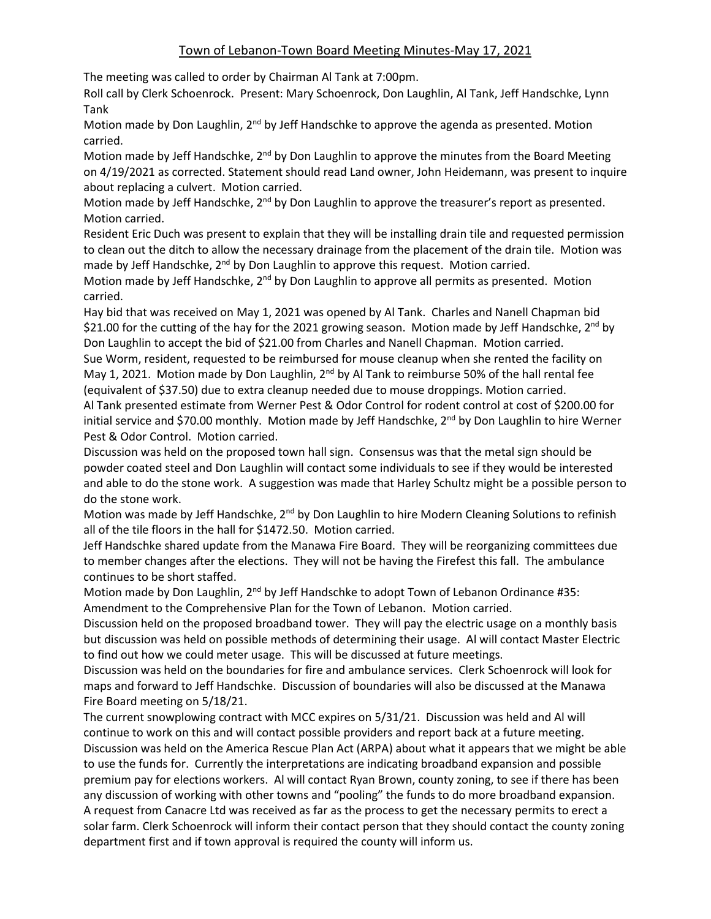The meeting was called to order by Chairman Al Tank at 7:00pm.

Roll call by Clerk Schoenrock. Present: Mary Schoenrock, Don Laughlin, Al Tank, Jeff Handschke, Lynn Tank

Motion made by Don Laughlin, 2<sup>nd</sup> by Jeff Handschke to approve the agenda as presented. Motion carried.

Motion made by Jeff Handschke, 2<sup>nd</sup> by Don Laughlin to approve the minutes from the Board Meeting on 4/19/2021 as corrected. Statement should read Land owner, John Heidemann, was present to inquire about replacing a culvert. Motion carried.

Motion made by Jeff Handschke, 2<sup>nd</sup> by Don Laughlin to approve the treasurer's report as presented. Motion carried.

Resident Eric Duch was present to explain that they will be installing drain tile and requested permission to clean out the ditch to allow the necessary drainage from the placement of the drain tile. Motion was made by Jeff Handschke,  $2^{nd}$  by Don Laughlin to approve this request. Motion carried.

Motion made by Jeff Handschke, 2<sup>nd</sup> by Don Laughlin to approve all permits as presented. Motion carried.

Hay bid that was received on May 1, 2021 was opened by Al Tank. Charles and Nanell Chapman bid \$21.00 for the cutting of the hay for the 2021 growing season. Motion made by Jeff Handschke,  $2^{nd}$  by Don Laughlin to accept the bid of \$21.00 from Charles and Nanell Chapman. Motion carried. Sue Worm, resident, requested to be reimbursed for mouse cleanup when she rented the facility on

May 1, 2021. Motion made by Don Laughlin,  $2^{nd}$  by Al Tank to reimburse 50% of the hall rental fee (equivalent of \$37.50) due to extra cleanup needed due to mouse droppings. Motion carried. Al Tank presented estimate from Werner Pest & Odor Control for rodent control at cost of \$200.00 for

initial service and \$70.00 monthly. Motion made by Jeff Handschke, 2<sup>nd</sup> by Don Laughlin to hire Werner Pest & Odor Control. Motion carried.

Discussion was held on the proposed town hall sign. Consensus was that the metal sign should be powder coated steel and Don Laughlin will contact some individuals to see if they would be interested and able to do the stone work. A suggestion was made that Harley Schultz might be a possible person to do the stone work.

Motion was made by Jeff Handschke, 2<sup>nd</sup> by Don Laughlin to hire Modern Cleaning Solutions to refinish all of the tile floors in the hall for \$1472.50. Motion carried.

Jeff Handschke shared update from the Manawa Fire Board. They will be reorganizing committees due to member changes after the elections. They will not be having the Firefest this fall. The ambulance continues to be short staffed.

Motion made by Don Laughlin,  $2^{nd}$  by Jeff Handschke to adopt Town of Lebanon Ordinance #35: Amendment to the Comprehensive Plan for the Town of Lebanon. Motion carried.

Discussion held on the proposed broadband tower. They will pay the electric usage on a monthly basis but discussion was held on possible methods of determining their usage. Al will contact Master Electric to find out how we could meter usage. This will be discussed at future meetings.

Discussion was held on the boundaries for fire and ambulance services. Clerk Schoenrock will look for maps and forward to Jeff Handschke. Discussion of boundaries will also be discussed at the Manawa Fire Board meeting on 5/18/21.

The current snowplowing contract with MCC expires on 5/31/21. Discussion was held and Al will continue to work on this and will contact possible providers and report back at a future meeting. Discussion was held on the America Rescue Plan Act (ARPA) about what it appears that we might be able to use the funds for. Currently the interpretations are indicating broadband expansion and possible premium pay for elections workers. Al will contact Ryan Brown, county zoning, to see if there has been any discussion of working with other towns and "pooling" the funds to do more broadband expansion. A request from Canacre Ltd was received as far as the process to get the necessary permits to erect a solar farm. Clerk Schoenrock will inform their contact person that they should contact the county zoning department first and if town approval is required the county will inform us.